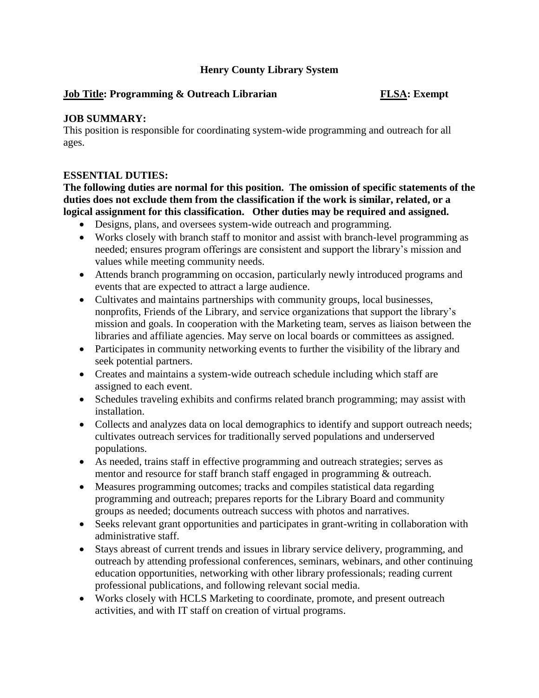### **Henry County Library System**

### **Job Title: Programming & Outreach Librarian FLSA: Exempt**

### **JOB SUMMARY:**

This position is responsible for coordinating system-wide programming and outreach for all ages.

### **ESSENTIAL DUTIES:**

**The following duties are normal for this position. The omission of specific statements of the duties does not exclude them from the classification if the work is similar, related, or a logical assignment for this classification. Other duties may be required and assigned.**

- Designs, plans, and oversees system-wide outreach and programming.
- Works closely with branch staff to monitor and assist with branch-level programming as needed; ensures program offerings are consistent and support the library's mission and values while meeting community needs.
- Attends branch programming on occasion, particularly newly introduced programs and events that are expected to attract a large audience.
- Cultivates and maintains partnerships with community groups, local businesses, nonprofits, Friends of the Library, and service organizations that support the library's mission and goals. In cooperation with the Marketing team, serves as liaison between the libraries and affiliate agencies. May serve on local boards or committees as assigned.
- Participates in community networking events to further the visibility of the library and seek potential partners.
- Creates and maintains a system-wide outreach schedule including which staff are assigned to each event.
- Schedules traveling exhibits and confirms related branch programming; may assist with installation.
- Collects and analyzes data on local demographics to identify and support outreach needs; cultivates outreach services for traditionally served populations and underserved populations.
- As needed, trains staff in effective programming and outreach strategies; serves as mentor and resource for staff branch staff engaged in programming & outreach.
- Measures programming outcomes; tracks and compiles statistical data regarding programming and outreach; prepares reports for the Library Board and community groups as needed; documents outreach success with photos and narratives.
- Seeks relevant grant opportunities and participates in grant-writing in collaboration with administrative staff.
- Stays abreast of current trends and issues in library service delivery, programming, and outreach by attending professional conferences, seminars, webinars, and other continuing education opportunities, networking with other library professionals; reading current professional publications, and following relevant social media.
- Works closely with HCLS Marketing to coordinate, promote, and present outreach activities, and with IT staff on creation of virtual programs.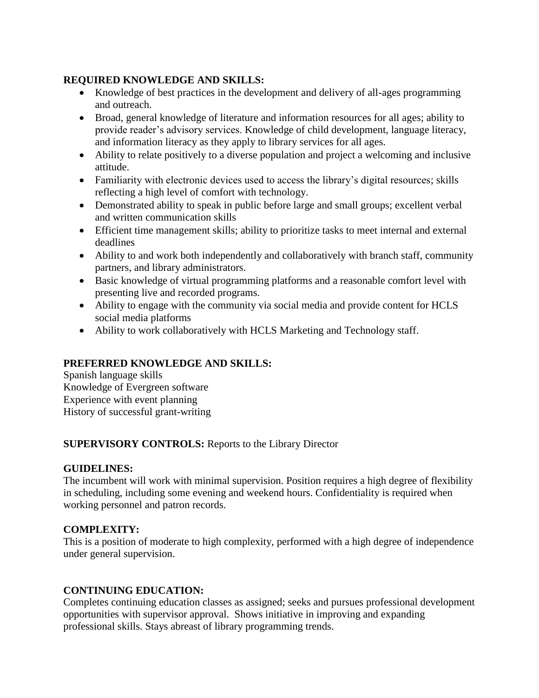### **REQUIRED KNOWLEDGE AND SKILLS:**

- Knowledge of best practices in the development and delivery of all-ages programming and outreach.
- Broad, general knowledge of literature and information resources for all ages; ability to provide reader's advisory services. Knowledge of child development, language literacy, and information literacy as they apply to library services for all ages.
- Ability to relate positively to a diverse population and project a welcoming and inclusive attitude.
- Familiarity with electronic devices used to access the library's digital resources; skills reflecting a high level of comfort with technology.
- Demonstrated ability to speak in public before large and small groups; excellent verbal and written communication skills
- Efficient time management skills; ability to prioritize tasks to meet internal and external deadlines
- Ability to and work both independently and collaboratively with branch staff, community partners, and library administrators.
- Basic knowledge of virtual programming platforms and a reasonable comfort level with presenting live and recorded programs.
- Ability to engage with the community via social media and provide content for HCLS social media platforms
- Ability to work collaboratively with HCLS Marketing and Technology staff.

# **PREFERRED KNOWLEDGE AND SKILLS:**

Spanish language skills Knowledge of Evergreen software Experience with event planning History of successful grant-writing

# **SUPERVISORY CONTROLS:** Reports to the Library Director

# **GUIDELINES:**

The incumbent will work with minimal supervision. Position requires a high degree of flexibility in scheduling, including some evening and weekend hours. Confidentiality is required when working personnel and patron records.

# **COMPLEXITY:**

This is a position of moderate to high complexity, performed with a high degree of independence under general supervision.

# **CONTINUING EDUCATION:**

Completes continuing education classes as assigned; seeks and pursues professional development opportunities with supervisor approval. Shows initiative in improving and expanding professional skills. Stays abreast of library programming trends.